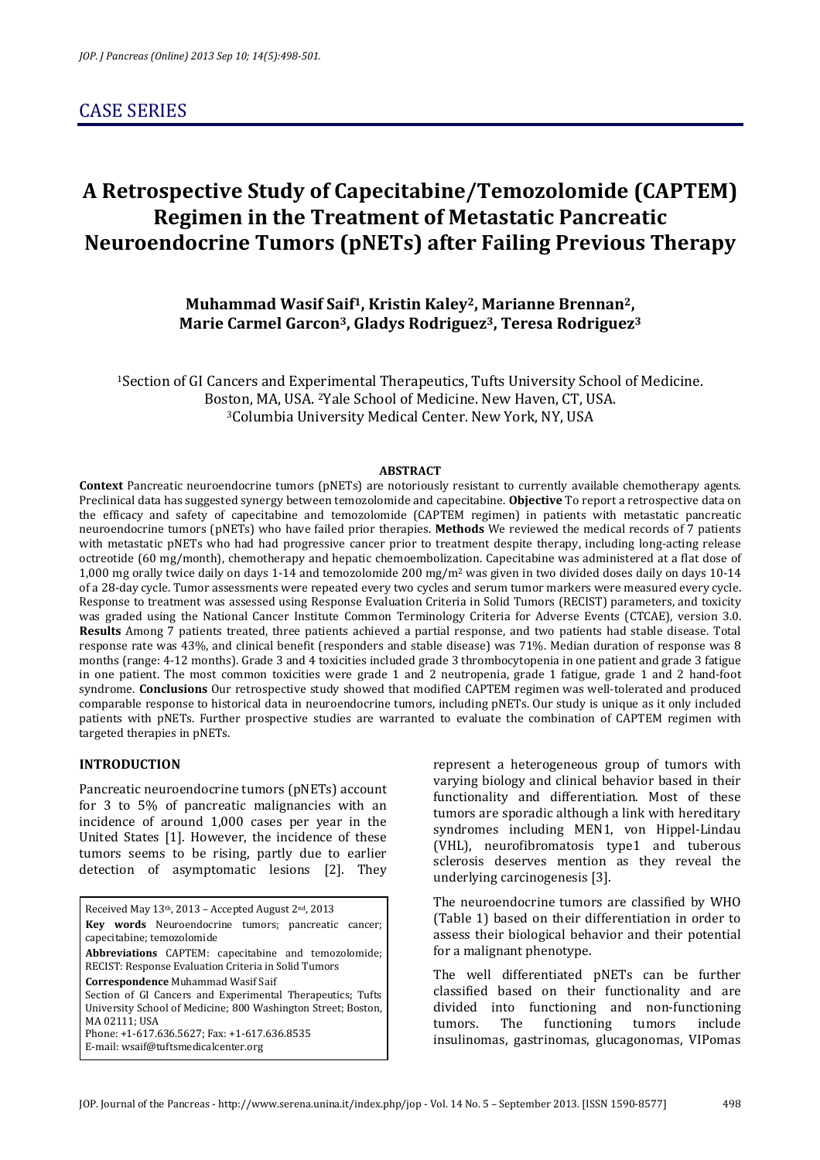# CASE SERIES

# **A Retrospective Study of Capecitabine/Temozolomide (CAPTEM) Regimen in the Treatment of Metastatic Pancreatic Neuroendocrine Tumors (pNETs) after Failing Previous Therapy**

# **Muhammad Wasif Saif1, Kristin Kaley2, Marianne Brennan2, Marie Carmel Garcon3, Gladys Rodriguez3, Teresa Rodriguez<sup>3</sup>**

<sup>1</sup>Section of GI Cancers and Experimental Therapeutics, Tufts University School of Medicine. Boston, MA, USA. 2Yale School of Medicine. New Haven, CT, USA. <sup>3</sup>Columbia University Medical Center. New York, NY, USA

#### **ABSTRACT**

**Context** Pancreatic neuroendocrine tumors (pNETs) are notoriously resistant to currently available chemotherapy agents. Preclinical data has suggested synergy between temozolomide and capecitabine. **Objective** To report a retrospective data on the efficacy and safety of capecitabine and temozolomide (CAPTEM regimen) in patients with metastatic pancreatic neuroendocrine tumors (pNETs) who have failed prior therapies. **Methods** We reviewed the medical records of 7 patients with metastatic pNETs who had had progressive cancer prior to treatment despite therapy, including long-acting release octreotide (60 mg/month), chemotherapy and hepatic chemoembolization. Capecitabine was administered at a flat dose of 1,000 mg orally twice daily on days 1-14 and temozolomide 200 mg/m2 was given in two divided doses daily on days 10-14 of a 28-day cycle. Tumor assessments were repeated every two cycles and serum tumor markers were measured every cycle. Response to treatment was assessed using Response Evaluation Criteria in Solid Tumors (RECIST) parameters, and toxicity was graded using the National Cancer Institute Common Terminology Criteria for Adverse Events (CTCAE), version 3.0. **Results** Among 7 patients treated, three patients achieved a partial response, and two patients had stable disease. Total response rate was 43%, and clinical benefit (responders and stable disease) was 71%. Median duration of response was 8 months (range: 4-12 months). Grade 3 and 4 toxicities included grade 3 thrombocytopenia in one patient and grade 3 fatigue in one patient. The most common toxicities were grade 1 and 2 neutropenia, grade 1 fatigue, grade 1 and 2 hand-foot syndrome. **Conclusions** Our retrospective study showed that modified CAPTEM regimen was well-tolerated and produced comparable response to historical data in neuroendocrine tumors, including pNETs. Our study is unique as it only included patients with pNETs. Further prospective studies are warranted to evaluate the combination of CAPTEM regimen with targeted therapies in pNETs.

## **INTRODUCTION**

Pancreatic neuroendocrine tumors (pNETs) account for 3 to 5% of pancreatic malignancies with an incidence of around 1,000 cases per year in the United States [1]. However, the incidence of these tumors seems to be rising, partly due to earlier detection of asymptomatic lesions [2]. They

Received May 13th, 2013 – Accepted August 2nd, 2013 **Key words** Neuroendocrine tumors; pancreatic cancer; capecitabine; temozolomide **Abbreviations** CAPTEM: capecitabine and temozolomide; RECIST: Response Evaluation Criteria in Solid Tumors **Correspondence** Muhammad Wasif Saif Section of GI Cancers and Experimental Therapeutics; Tufts University School of Medicine; 800 Washington Street; Boston, MA 02111; USA Phone: +1-617.636.5627; Fax: +1-617.636.8535 E-mail: wsaif@tuftsmedicalcenter.org

represent a heterogeneous group of tumors with varying biology and clinical behavior based in their functionality and differentiation. Most of these tumors are sporadic although a link with hereditary syndromes including MEN1, von Hippel-Lindau (VHL), neurofibromatosis type1 and tuberous sclerosis deserves mention as they reveal the underlying carcinogenesis [3].

The neuroendocrine tumors are classified by WHO (Table 1) based on their differentiation in order to assess their biological behavior and their potential for a malignant phenotype.

The well differentiated pNETs can be further classified based on their functionality and are divided into functioning and non-functioning tumors. The functioning tumors include insulinomas, gastrinomas, glucagonomas, VIPomas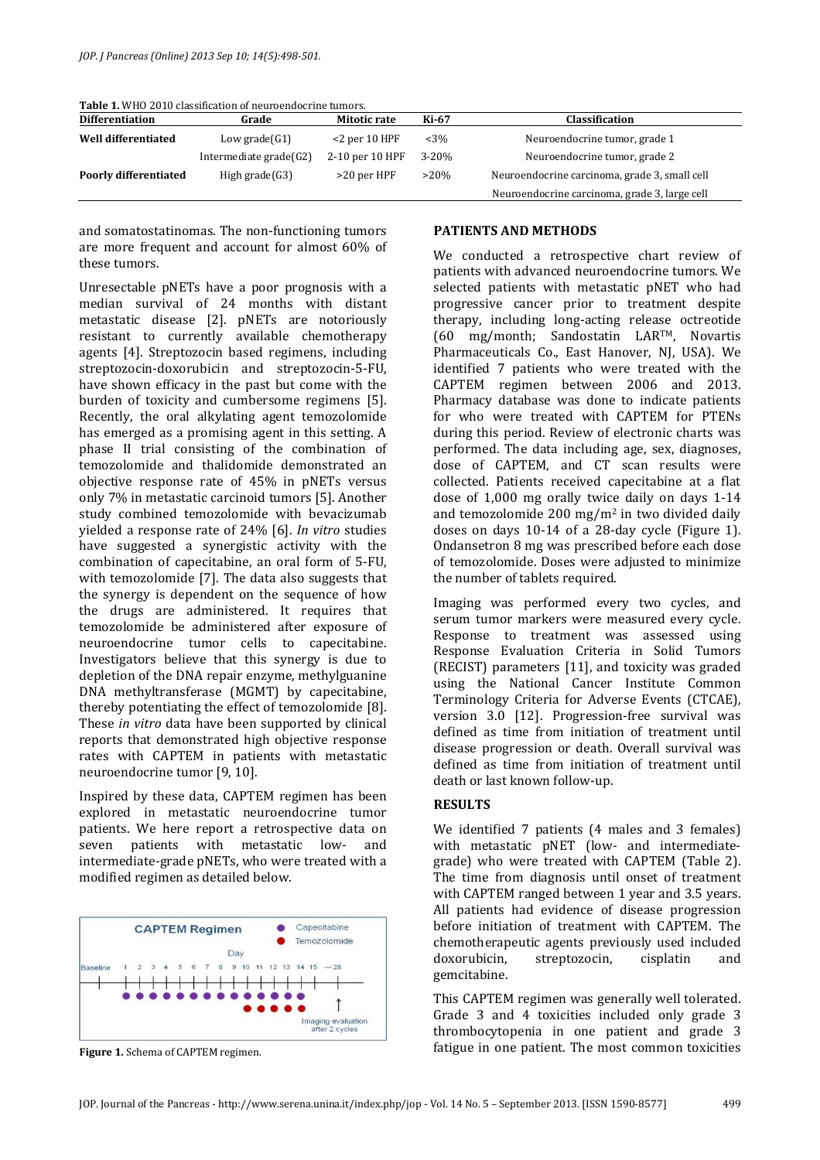**Table 1.** WHO 2010 classification of neuroendocrine tumors.

| <b>Differentiation</b>       | Grade                     | Mitotic rate     | Ki-67     | <b>Classification</b>                         |  |
|------------------------------|---------------------------|------------------|-----------|-----------------------------------------------|--|
| <b>Well differentiated</b>   | Low grade $(G1)$          | $<$ 2 per 10 HPF | $< 3\%$   | Neuroendocrine tumor, grade 1                 |  |
|                              | Intermediate grade $(G2)$ | 2-10 per 10 HPF  | $3 - 20%$ | Neuroendocrine tumor, grade 2                 |  |
| <b>Poorly differentiated</b> | High grade $(G3)$         | >20 per HPF      | $>20\%$   | Neuroendocrine carcinoma, grade 3, small cell |  |
|                              |                           |                  |           | Neuroendocrine carcinoma, grade 3, large cell |  |

and somatostatinomas. The non-functioning tumors are more frequent and account for almost 60% of these tumors.

Unresectable pNETs have a poor prognosis with a median survival of 24 months with distant metastatic disease [2]. pNETs are notoriously resistant to currently available chemotherapy agents [4]. Streptozocin based regimens, including streptozocin-doxorubicin and streptozocin-5-FU, have shown efficacy in the past but come with the burden of toxicity and cumbersome regimens [5]. Recently, the oral alkylating agent temozolomide has emerged as a promising agent in this setting. A phase II trial consisting of the combination of temozolomide and thalidomide demonstrated an objective response rate of 45% in pNETs versus only 7% in metastatic carcinoid tumors [5]. Another study combined temozolomide with bevacizumab yielded a response rate of 24% [6]. *In vitro* studies have suggested a synergistic activity with the combination of capecitabine, an oral form of 5-FU, with temozolomide [7]. The data also suggests that the synergy is dependent on the sequence of how the drugs are administered. It requires that temozolomide be administered after exposure of neuroendocrine tumor cells to capecitabine. Investigators believe that this synergy is due to depletion of the DNA repair enzyme, methylguanine DNA methyltransferase (MGMT) by capecitabine, thereby potentiating the effect of temozolomide [8]. These *in vitro* data have been supported by clinical reports that demonstrated high objective response rates with CAPTEM in patients with metastatic neuroendocrine tumor [9, 10].

Inspired by these data, CAPTEM regimen has been explored in metastatic neuroendocrine tumor patients. We here report a retrospective data on seven patients with metastatic low- and intermediate-grade pNETs, who were treated with a modified regimen as detailed below.



**Figure 1.** Schema of CAPTEM regimen.

#### **PATIENTS AND METHODS**

We conducted a retrospective chart review of patients with advanced neuroendocrine tumors. We selected patients with metastatic pNET who had progressive cancer prior to treatment despite therapy, including long-acting release octreotide (60 mg/month; Sandostatin LARTM, Novartis Pharmaceuticals Co., East Hanover, NJ, USA). We identified 7 patients who were treated with the CAPTEM regimen between 2006 and 2013. Pharmacy database was done to indicate patients for who were treated with CAPTEM for PTENs during this period. Review of electronic charts was performed. The data including age, sex, diagnoses, dose of CAPTEM, and CT scan results were collected. Patients received capecitabine at a flat dose of 1,000 mg orally twice daily on days 1-14 and temozolomide 200 mg/m2 in two divided daily doses on days 10-14 of a 28-day cycle (Figure 1). Ondansetron 8 mg was prescribed before each dose of temozolomide. Doses were adjusted to minimize the number of tablets required.

Imaging was performed every two cycles, and serum tumor markers were measured every cycle. Response to treatment was assessed using Response Evaluation Criteria in Solid Tumors (RECIST) parameters [11], and toxicity was graded using the National Cancer Institute Common Terminology Criteria for Adverse Events (CTCAE), version 3.0 [12]. Progression-free survival was defined as time from initiation of treatment until disease progression or death. Overall survival was defined as time from initiation of treatment until death or last known follow-up.

## **RESULTS**

We identified 7 patients (4 males and 3 females) with metastatic pNET (low- and intermediategrade) who were treated with CAPTEM (Table 2). The time from diagnosis until onset of treatment with CAPTEM ranged between 1 year and 3.5 years. All patients had evidence of disease progression before initiation of treatment with CAPTEM. The chemotherapeutic agents previously used included doxorubicin, streptozocin, cisplatin and gemcitabine.

This CAPTEM regimen was generally well tolerated. Grade 3 and 4 toxicities included only grade 3 thrombocytopenia in one patient and grade 3 fatigue in one patient. The most common toxicities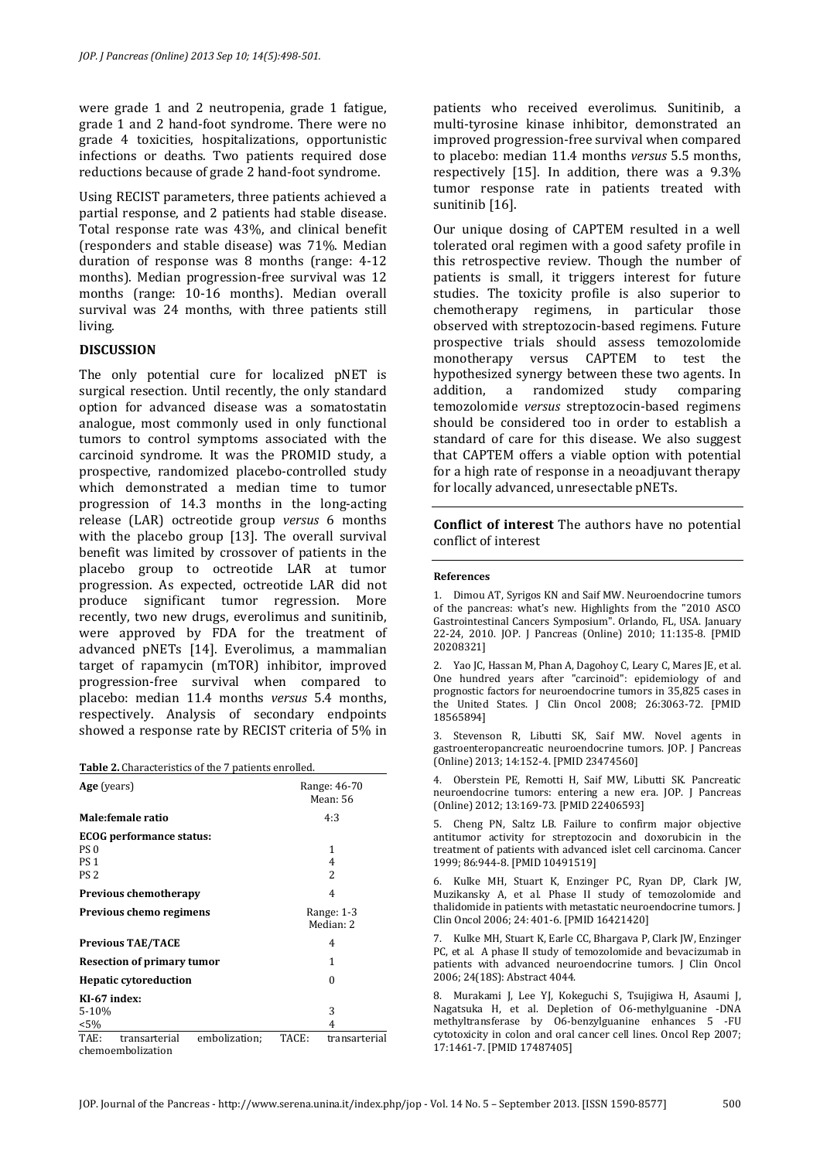were grade 1 and 2 neutropenia, grade 1 fatigue, grade 1 and 2 hand-foot syndrome. There were no grade 4 toxicities, hospitalizations, opportunistic infections or deaths. Two patients required dose reductions because of grade 2 hand-foot syndrome.

Using RECIST parameters, three patients achieved a partial response, and 2 patients had stable disease. Total response rate was 43%, and clinical benefit (responders and stable disease) was 71%. Median duration of response was 8 months (range: 4-12 months). Median progression-free survival was 12 months (range: 10-16 months). Median overall survival was 24 months, with three patients still living.

## **DISCUSSION**

The only potential cure for localized pNET is surgical resection. Until recently, the only standard option for advanced disease was a somatostatin analogue, most commonly used in only functional tumors to control symptoms associated with the carcinoid syndrome. It was the PROMID study, a prospective, randomized placebo-controlled study which demonstrated a median time to tumor progression of 14.3 months in the long-acting release (LAR) octreotide group *versus* 6 months with the placebo group [13]. The overall survival benefit was limited by crossover of patients in the placebo group to octreotide LAR at tumor progression. As expected, octreotide LAR did not produce significant tumor regression. More recently, two new drugs, everolimus and sunitinib, were approved by FDA for the treatment of advanced pNETs [14]. Everolimus, a mammalian target of rapamycin (mTOR) inhibitor, improved progression-free survival when compared to placebo: median 11.4 months *versus* 5.4 months, respectively. Analysis of secondary endpoints showed a response rate by RECIST criteria of 5% in

| <b>Table 2.</b> Characteristics of the 7 patients enrolled. |  |
|-------------------------------------------------------------|--|
|-------------------------------------------------------------|--|

| Age (years)                            | Range: 46-70<br>Mean: 56 |                          |  |
|----------------------------------------|--------------------------|--------------------------|--|
| Male: female ratio                     |                          | 4:3                      |  |
| ECOG performance status:               |                          |                          |  |
| PS <sub>0</sub>                        |                          | 1                        |  |
| <b>PS1</b>                             |                          | 4                        |  |
| PS <sub>2</sub>                        |                          | $\overline{\mathcal{L}}$ |  |
| <b>Previous chemotherapy</b>           |                          | 4                        |  |
| Previous chemo regimens                | Range: 1-3<br>Median: 2  |                          |  |
| <b>Previous TAE/TACE</b>               | 4                        |                          |  |
| <b>Resection of primary tumor</b>      | 1                        |                          |  |
| <b>Hepatic cytoreduction</b>           | 0                        |                          |  |
| KI-67 index:                           |                          |                          |  |
| $5 - 10%$                              |                          | 3                        |  |
| $< 5\%$                                |                          | 4                        |  |
| TAE:<br>embolization;<br>transarterial | TACE:                    | transarterial            |  |
| chemoembolization                      |                          |                          |  |

patients who received everolimus. Sunitinib, a multi-tyrosine kinase inhibitor, demonstrated an improved progression-free survival when compared to placebo: median 11.4 months *versus* 5.5 months, respectively [15]. In addition, there was a 9.3% tumor response rate in patients treated with sunitinib [16].

Our unique dosing of CAPTEM resulted in a well tolerated oral regimen with a good safety profile in this retrospective review. Though the number of patients is small, it triggers interest for future studies. The toxicity profile is also superior to chemotherapy regimens, in particular those observed with streptozocin-based regimens. Future prospective trials should assess temozolomide monotherapy versus CAPTEM to test the hypothesized synergy between these two agents. In addition, a randomized study comparing temozolomide *versus* streptozocin-based regimens should be considered too in order to establish a standard of care for this disease. We also suggest that CAPTEM offers a viable option with potential for a high rate of response in a neoadjuvant therapy for locally advanced, unresectable pNETs.

**Conflict of interest** The authors have no potential conflict of interest

#### **References**

2. Yao JC, Hassan M, Phan A, Dagohoy C, Leary C, Mares JE, et al. One hundred years after "carcinoid": epidemiology of and prognostic factors for neuroendocrine tumors in 35,825 cases in the United States. J Clin Oncol 2008; 26:3063-72. [PMID 18565894]

3. Stevenson R, Libutti SK, Saif MW. Novel agents in gastroenteropancreatic neuroendocrine tumors. JOP. J Pancreas (Online) 2013; 14:152-4. [PMID 23474560]

4. Oberstein PE, Remotti H, Saif MW, Libutti SK. Pancreatic neuroendocrine tumors: entering a new era. JOP. J Pancreas (Online) 2012; 13:169-73. [PMID 22406593]

5. Cheng PN, Saltz LB. Failure to confirm major objective antitumor activity for streptozocin and doxorubicin in the treatment of patients with advanced islet cell carcinoma. Cancer 1999; 86:944-8. [PMID 10491519]

6. Kulke MH, Stuart K, Enzinger PC, Ryan DP, Clark JW, Muzikansky A, et al. Phase II study of temozolomide and thalidomide in patients with metastatic neuroendocrine tumors. J Clin Oncol 2006; 24: 401-6. [PMID 16421420]

7. Kulke MH, Stuart K, Earle CC, Bhargava P, Clark JW, Enzinger PC, et al. A phase II study of temozolomide and bevacizumab in patients with advanced neuroendocrine tumors. J Clin Oncol 2006; 24(18S): Abstract 4044.

8. Murakami J, Lee YJ, Kokeguchi S, Tsujigiwa H, Asaumi J, Nagatsuka H, et al. Depletion of O6-methylguanine -DNA methyltransferase by O6-benzylguanine enhances 5 -FU cytotoxicity in colon and oral cancer cell lines. Oncol Rep 2007; 17:1461-7. [PMID 17487405]

<sup>1.</sup> Dimou AT, Syrigos KN and Saif MW. Neuroendocrine tumors of the pancreas: what's new. Highlights from the "2010 ASCO Gastrointestinal Cancers Symposium". Orlando, FL, USA. January 22-24, 2010. JOP. J Pancreas (Online) 2010; 11:135-8. [PMID 20208321]